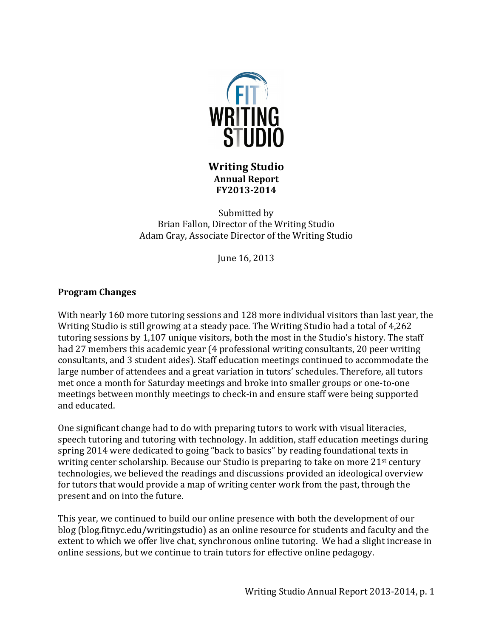

**Writing Studio Annual Report FY2013-2014**

Submitted by Brian Fallon, Director of the Writing Studio Adam Gray, Associate Director of the Writing Studio

June 16, 2013

## **Program Changes**

With nearly 160 more tutoring sessions and 128 more individual visitors than last year, the Writing Studio is still growing at a steady pace. The Writing Studio had a total of 4,262 tutoring sessions by 1,107 unique visitors, both the most in the Studio's history. The staff had 27 members this academic year (4 professional writing consultants, 20 peer writing consultants, and 3 student aides). Staff education meetings continued to accommodate the large number of attendees and a great variation in tutors' schedules. Therefore, all tutors met once a month for Saturday meetings and broke into smaller groups or one-to-one meetings between monthly meetings to check-in and ensure staff were being supported and educated.

One significant change had to do with preparing tutors to work with visual literacies, speech tutoring and tutoring with technology. In addition, staff education meetings during spring 2014 were dedicated to going "back to basics" by reading foundational texts in writing center scholarship. Because our Studio is preparing to take on more  $21<sup>st</sup>$  century technologies, we believed the readings and discussions provided an ideological overview for tutors that would provide a map of writing center work from the past, through the present and on into the future.

This year, we continued to build our online presence with both the development of our blog (blog.fitnyc.edu/writingstudio) as an online resource for students and faculty and the extent to which we offer live chat, synchronous online tutoring. We had a slight increase in online sessions, but we continue to train tutors for effective online pedagogy.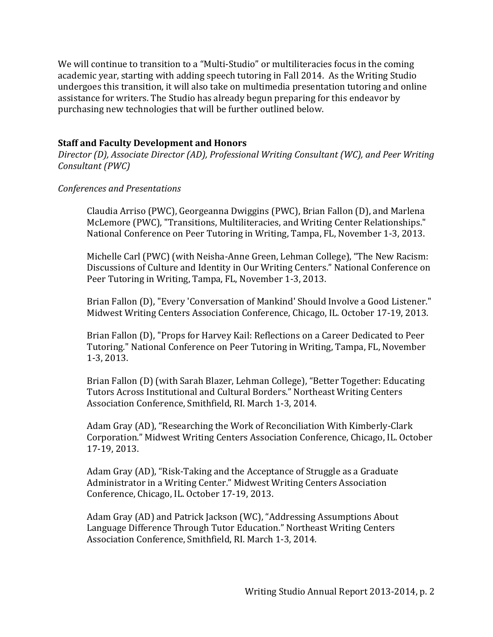We will continue to transition to a "Multi-Studio" or multiliteracies focus in the coming academic year, starting with adding speech tutoring in Fall 2014. As the Writing Studio undergoes this transition, it will also take on multimedia presentation tutoring and online assistance for writers. The Studio has already begun preparing for this endeavor by purchasing new technologies that will be further outlined below.

## **Staff and Faculty Development and Honors**

*Director (D), Associate Director (AD), Professional Writing Consultant (WC), and Peer Writing Consultant* (PWC)

### *Conferences and Presentations*

Claudia Arriso (PWC), Georgeanna Dwiggins (PWC), Brian Fallon (D), and Marlena McLemore (PWC), "Transitions, Multiliteracies, and Writing Center Relationships." National Conference on Peer Tutoring in Writing, Tampa, FL, November 1-3, 2013.

Michelle Carl (PWC) (with Neisha-Anne Green, Lehman College), "The New Racism: Discussions of Culture and Identity in Our Writing Centers." National Conference on Peer Tutoring in Writing, Tampa, FL, November 1-3, 2013.

Brian Fallon (D), "Every 'Conversation of Mankind' Should Involve a Good Listener." Midwest Writing Centers Association Conference, Chicago, IL. October 17-19, 2013.

Brian Fallon (D), "Props for Harvey Kail: Reflections on a Career Dedicated to Peer Tutoring." National Conference on Peer Tutoring in Writing, Tampa, FL, November 1-3, 2013.

Brian Fallon (D) (with Sarah Blazer, Lehman College), "Better Together: Educating Tutors Across Institutional and Cultural Borders." Northeast Writing Centers Association Conference, Smithfield, RI, March 1-3, 2014.

Adam Gray (AD), "Researching the Work of Reconciliation With Kimberly-Clark Corporation." Midwest Writing Centers Association Conference, Chicago, IL. October 17-19, 2013.

Adam Gray (AD), "Risk-Taking and the Acceptance of Struggle as a Graduate Administrator in a Writing Center." Midwest Writing Centers Association Conference, Chicago, IL. October 17-19, 2013.

Adam Gray (AD) and Patrick Jackson (WC), "Addressing Assumptions About Language Difference Through Tutor Education." Northeast Writing Centers Association Conference, Smithfield, RI. March 1-3, 2014.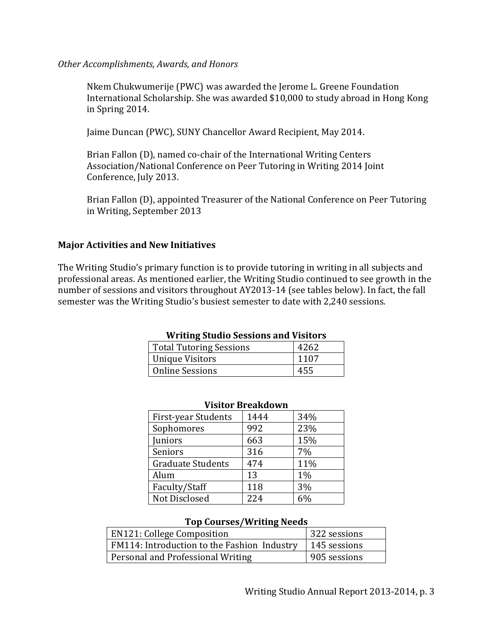### *Other Accomplishments, Awards, and Honors*

Nkem Chukwumerije (PWC) was awarded the Jerome L. Greene Foundation International Scholarship. She was awarded \$10,000 to study abroad in Hong Kong in Spring 2014.

Jaime Duncan (PWC), SUNY Chancellor Award Recipient, May 2014.

Brian Fallon (D), named co-chair of the International Writing Centers Association/National Conference on Peer Tutoring in Writing 2014 Joint Conference, July 2013.

Brian Fallon (D), appointed Treasurer of the National Conference on Peer Tutoring in Writing, September 2013

## **Major Activities and New Initiatives**

The Writing Studio's primary function is to provide tutoring in writing in all subjects and professional areas. As mentioned earlier, the Writing Studio continued to see growth in the number of sessions and visitors throughout AY2013-14 (see tables below). In fact, the fall semester was the Writing Studio's busiest semester to date with 2,240 sessions.

| <b>Writing Studio Sessions and Visitors</b> |      |  |
|---------------------------------------------|------|--|
| <b>Total Tutoring Sessions</b>              | 4262 |  |
| <b>Unique Visitors</b>                      | 1107 |  |
| <b>Online Sessions</b>                      | 455  |  |

| VISILVI DI CARAVWII        |      |       |  |
|----------------------------|------|-------|--|
| <b>First-year Students</b> | 1444 | 34%   |  |
| Sophomores                 | 992  | 23%   |  |
| Juniors                    | 663  | 15%   |  |
| Seniors                    | 316  | 7%    |  |
| <b>Graduate Students</b>   | 474  | 11%   |  |
| Alum                       | 13   | $1\%$ |  |
| Faculty/Staff              | 118  | 3%    |  |
| Not Disclosed              | 224  | 6%    |  |

### **Visitor Breakdown**

#### **Top Courses/Writing Needs**

| <b>EN121: College Composition</b>                          | 322 sessions |
|------------------------------------------------------------|--------------|
| FM114: Introduction to the Fashion Industry   145 sessions |              |
| Personal and Professional Writing                          | 905 sessions |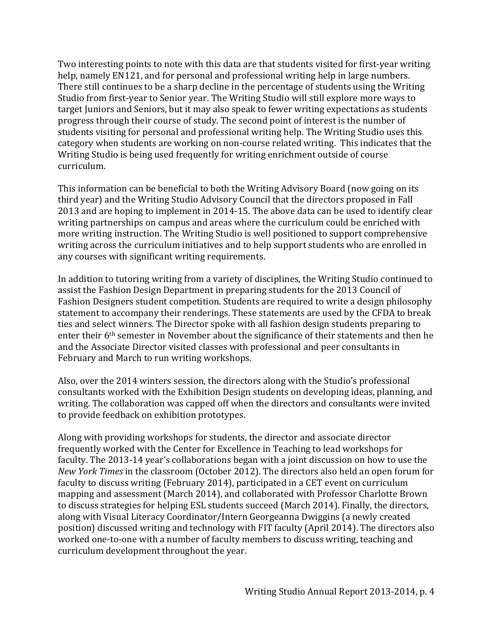Two interesting points to note with this data are that students visited for first-year writing help, namely EN121, and for personal and professional writing help in large numbers. There still continues to be a sharp decline in the percentage of students using the Writing Studio from first-year to Senior year. The Writing Studio will still explore more ways to target Juniors and Seniors, but it may also speak to fewer writing expectations as students progress through their course of study. The second point of interest is the number of students visiting for personal and professional writing help. The Writing Studio uses this category when students are working on non-course related writing. This indicates that the Writing Studio is being used frequently for writing enrichment outside of course curriculum. 

This information can be beneficial to both the Writing Advisory Board (now going on its third year) and the Writing Studio Advisory Council that the directors proposed in Fall 2013 and are hoping to implement in 2014-15. The above data can be used to identify clear writing partnerships on campus and areas where the curriculum could be enriched with more writing instruction. The Writing Studio is well positioned to support comprehensive writing across the curriculum initiatives and to help support students who are enrolled in any courses with significant writing requirements.

In addition to tutoring writing from a variety of disciplines, the Writing Studio continued to assist the Fashion Design Department in preparing students for the 2013 Council of Fashion Designers student competition. Students are required to write a design philosophy statement to accompany their renderings. These statements are used by the CFDA to break ties and select winners. The Director spoke with all fashion design students preparing to enter their  $6<sup>th</sup>$  semester in November about the significance of their statements and then he and the Associate Director visited classes with professional and peer consultants in February and March to run writing workshops.

Also, over the 2014 winters session, the directors along with the Studio's professional consultants worked with the Exhibition Design students on developing ideas, planning, and writing. The collaboration was capped off when the directors and consultants were invited to provide feedback on exhibition prototypes.

Along with providing workshops for students, the director and associate director frequently worked with the Center for Excellence in Teaching to lead workshops for faculty. The 2013-14 year's collaborations began with a joint discussion on how to use the *New York Times* in the classroom (October 2012). The directors also held an open forum for faculty to discuss writing (February 2014), participated in a CET event on curriculum mapping and assessment (March 2014), and collaborated with Professor Charlotte Brown to discuss strategies for helping ESL students succeed (March 2014). Finally, the directors, along with Visual Literacy Coordinator/Intern Georgeanna Dwiggins (a newly created position) discussed writing and technology with FIT faculty (April 2014). The directors also worked one-to-one with a number of faculty members to discuss writing, teaching and curriculum development throughout the year.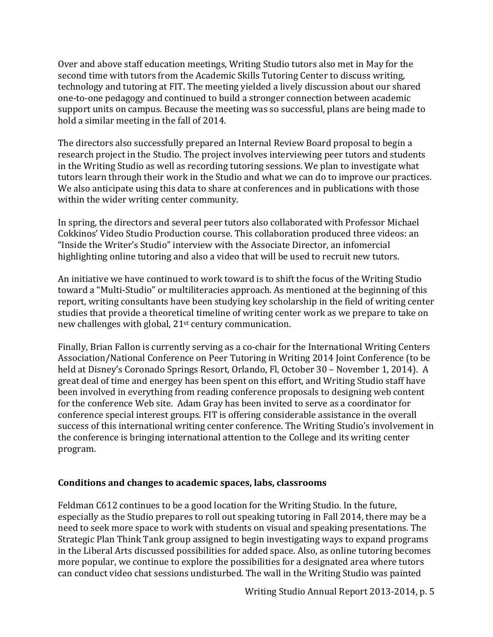Over and above staff education meetings, Writing Studio tutors also met in May for the second time with tutors from the Academic Skills Tutoring Center to discuss writing, technology and tutoring at FIT. The meeting yielded a lively discussion about our shared one-to-one pedagogy and continued to build a stronger connection between academic support units on campus. Because the meeting was so successful, plans are being made to hold a similar meeting in the fall of 2014.

The directors also successfully prepared an Internal Review Board proposal to begin a research project in the Studio. The project involves interviewing peer tutors and students in the Writing Studio as well as recording tutoring sessions. We plan to investigate what tutors learn through their work in the Studio and what we can do to improve our practices. We also anticipate using this data to share at conferences and in publications with those within the wider writing center community.

In spring, the directors and several peer tutors also collaborated with Professor Michael Cokkinos' Video Studio Production course. This collaboration produced three videos: an "Inside the Writer's Studio" interview with the Associate Director, an infomercial highlighting online tutoring and also a video that will be used to recruit new tutors.

An initiative we have continued to work toward is to shift the focus of the Writing Studio toward a "Multi-Studio" or multiliteracies approach. As mentioned at the beginning of this report, writing consultants have been studying key scholarship in the field of writing center studies that provide a theoretical timeline of writing center work as we prepare to take on new challenges with global, 21<sup>st</sup> century communication.

Finally, Brian Fallon is currently serving as a co-chair for the International Writing Centers Association/National Conference on Peer Tutoring in Writing 2014 Joint Conference (to be held at Disney's Coronado Springs Resort, Orlando, Fl, October 30 - November 1, 2014). A great deal of time and energey has been spent on this effort, and Writing Studio staff have been involved in everything from reading conference proposals to designing web content for the conference Web site. Adam Gray has been invited to serve as a coordinator for conference special interest groups. FIT is offering considerable assistance in the overall success of this international writing center conference. The Writing Studio's involvement in the conference is bringing international attention to the College and its writing center program.

## Conditions and changes to academic spaces, labs, classrooms

Feldman C612 continues to be a good location for the Writing Studio. In the future, especially as the Studio prepares to roll out speaking tutoring in Fall 2014, there may be a need to seek more space to work with students on visual and speaking presentations. The Strategic Plan Think Tank group assigned to begin investigating ways to expand programs in the Liberal Arts discussed possibilities for added space. Also, as online tutoring becomes more popular, we continue to explore the possibilities for a designated area where tutors can conduct video chat sessions undisturbed. The wall in the Writing Studio was painted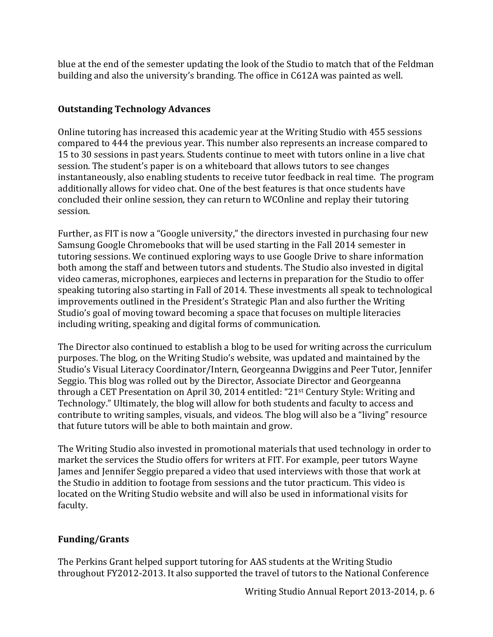blue at the end of the semester updating the look of the Studio to match that of the Feldman building and also the university's branding. The office in C612A was painted as well.

# **Outstanding Technology Advances**

Online tutoring has increased this academic year at the Writing Studio with 455 sessions compared to 444 the previous year. This number also represents an increase compared to 15 to 30 sessions in past years. Students continue to meet with tutors online in a live chat session. The student's paper is on a whiteboard that allows tutors to see changes instantaneously, also enabling students to receive tutor feedback in real time. The program additionally allows for video chat. One of the best features is that once students have concluded their online session, they can return to WCOnline and replay their tutoring session. 

Further, as FIT is now a "Google university," the directors invested in purchasing four new Samsung Google Chromebooks that will be used starting in the Fall 2014 semester in tutoring sessions. We continued exploring ways to use Google Drive to share information both among the staff and between tutors and students. The Studio also invested in digital video cameras, microphones, earpieces and lecterns in preparation for the Studio to offer speaking tutoring also starting in Fall of 2014. These investments all speak to technological improvements outlined in the President's Strategic Plan and also further the Writing Studio's goal of moving toward becoming a space that focuses on multiple literacies including writing, speaking and digital forms of communication.

The Director also continued to establish a blog to be used for writing across the curriculum purposes. The blog, on the Writing Studio's website, was updated and maintained by the Studio's Visual Literacy Coordinator/Intern, Georgeanna Dwiggins and Peer Tutor, Jennifer Seggio. This blog was rolled out by the Director, Associate Director and Georgeanna through a CET Presentation on April 30, 2014 entitled: "21<sup>st</sup> Century Style: Writing and Technology." Ultimately, the blog will allow for both students and faculty to access and contribute to writing samples, visuals, and videos. The blog will also be a "living" resource that future tutors will be able to both maintain and grow.

The Writing Studio also invested in promotional materials that used technology in order to market the services the Studio offers for writers at FIT. For example, peer tutors Wayne James and Jennifer Seggio prepared a video that used interviews with those that work at the Studio in addition to footage from sessions and the tutor practicum. This video is located on the Writing Studio website and will also be used in informational visits for faculty.

# **Funding/Grants**

The Perkins Grant helped support tutoring for AAS students at the Writing Studio throughout FY2012-2013. It also supported the travel of tutors to the National Conference